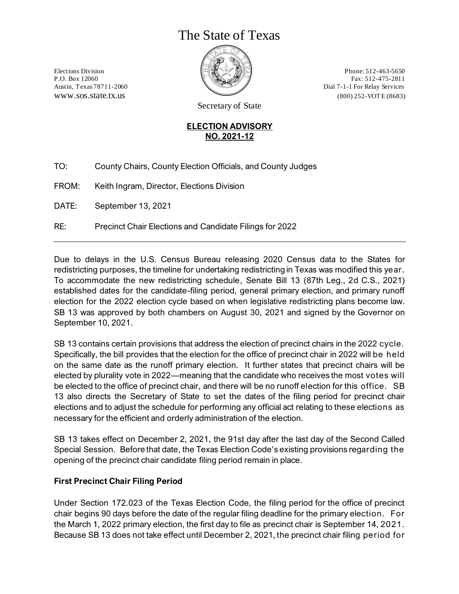# The State of Texas



Elections Division  $\Box$   $\Box$   $\Box$   $\Box$   $\Box$   $\Box$  Phone: 512-463-5650 P.O. Box 12060 Fax: 512-475-2811 Austin, Texas 78711-2060 Dial 7-1-1 For Relay Services www.sos.state.tx.us (800) 252-VOTE (8683)

Secretary of State

#### **ELECTION ADVISORY NO. 2021-12**

TO: County Chairs, County Election Officials, and County Judges

FROM: Keith Ingram, Director, Elections Division

DATE: September 13, 2021

RE: Precinct Chair Elections and Candidate Filings for 2022

Due to delays in the U.S. Census Bureau releasing 2020 Census data to the States for redistricting purposes, the timeline for undertaking redistricting in Texas was modified this year. To accommodate the new redistricting schedule, Senate Bill 13 (87th Leg., 2d C.S., 2021) established dates for the candidate-filing period, general primary election, and primary runoff election for the 2022 election cycle based on when legislative redistricting plans become law. SB 13 was approved by both chambers on August 30, 2021 and signed by the Governor on September 10, 2021.

SB 13 contains certain provisions that address the election of precinct chairs in the 2022 cycle. Specifically, the bill provides that the election for the office of precinct chair in 2022 will be held on the same date as the runoff primary election. It further states that precinct chairs will be elected by plurality vote in 2022—meaning that the candidate who receives the most votes will be elected to the office of precinct chair, and there will be no runoff election for this office. SB 13 also directs the Secretary of State to set the dates of the filing period for precinct chair elections and to adjust the schedule for performing any official act relating to these elections as necessary for the efficient and orderly administration of the election.

SB 13 takes effect on December 2, 2021, the 91st day after the last day of the Second Called Special Session. Before that date, the Texas Election Code's existing provisions regarding the opening of the precinct chair candidate filing period remain in place.

## **First Precinct Chair Filing Period**

Under Section 172.023 of the Texas Election Code, the filing period for the office of precinct chair begins 90 days before the date of the regular filing deadline for the primary election. For the March 1, 2022 primary election, the first day to file as precinct chair is September 14, 2021. Because SB 13 does not take effect until December 2, 2021, the precinct chair filing period for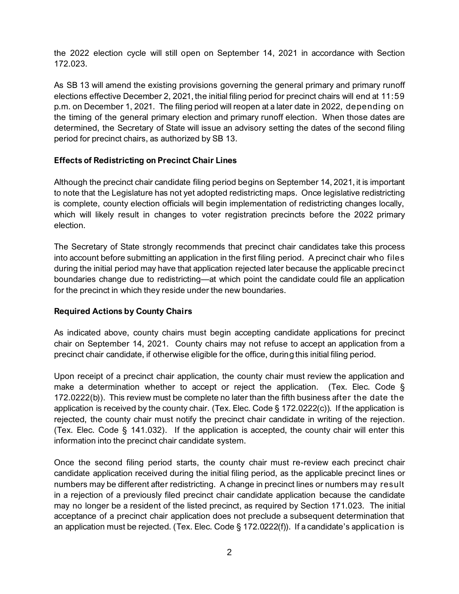the 2022 election cycle will still open on September 14, 2021 in accordance with Section 172.023.

As SB 13 will amend the existing provisions governing the general primary and primary runoff elections effective December 2, 2021, the initial filing period for precinct chairs will end at 11:59 p.m. on December 1, 2021. The filing period will reopen at a later date in 2022, depending on the timing of the general primary election and primary runoff election. When those dates are determined, the Secretary of State will issue an advisory setting the dates of the second filing period for precinct chairs, as authorized by SB 13.

#### **Effects of Redistricting on Precinct Chair Lines**

Although the precinct chair candidate filing period begins on September 14, 2021, it is important to note that the Legislature has not yet adopted redistricting maps. Once legislative redistricting is complete, county election officials will begin implementation of redistricting changes locally, which will likely result in changes to voter registration precincts before the 2022 primary election.

The Secretary of State strongly recommends that precinct chair candidates take this process into account before submitting an application in the first filing period. A precinct chair who files during the initial period may have that application rejected later because the applicable precinct boundaries change due to redistricting—at which point the candidate could file an application for the precinct in which they reside under the new boundaries.

#### **Required Actions by County Chairs**

As indicated above, county chairs must begin accepting candidate applications for precinct chair on September 14, 2021. County chairs may not refuse to accept an application from a precinct chair candidate, if otherwise eligible for the office, during this initial filing period.

Upon receipt of a precinct chair application, the county chair must review the application and make a determination whether to accept or reject the application. (Tex. Elec. Code § 172.0222(b)). This review must be complete no later than the fifth business after the date the application is received by the county chair. (Tex. Elec. Code § 172.0222(c)). If the application is rejected, the county chair must notify the precinct chair candidate in writing of the rejection. (Tex. Elec. Code § 141.032). If the application is accepted, the county chair will enter this information into the precinct chair candidate system.

Once the second filing period starts, the county chair must re-review each precinct chair candidate application received during the initial filing period, as the applicable precinct lines or numbers may be different after redistricting. A change in precinct lines or numbers may result in a rejection of a previously filed precinct chair candidate application because the candidate may no longer be a resident of the listed precinct, as required by Section 171.023. The initial acceptance of a precinct chair application does not preclude a subsequent determination that an application must be rejected. (Tex. Elec. Code § 172.0222(f)). If a candidate's application is